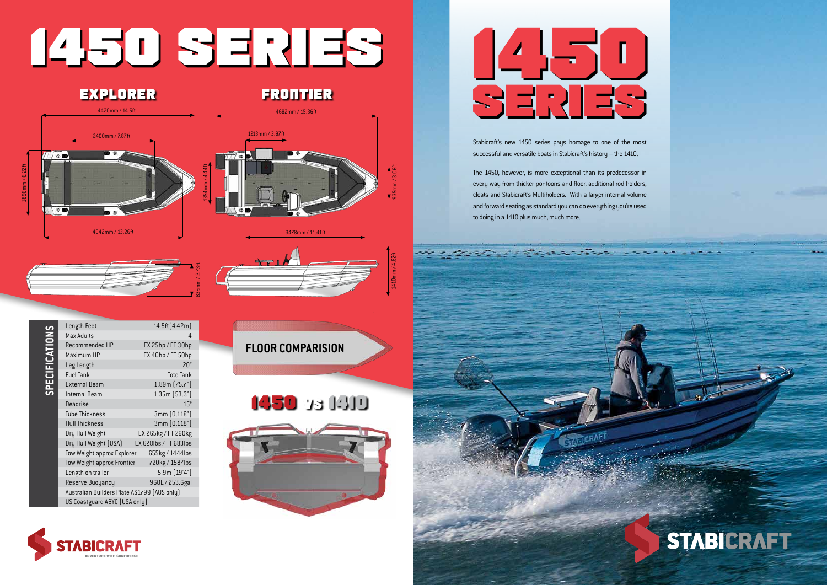

Stabicraft's new 1450 series pays homage to one of the most successful and versatile boats in Stabicraft's history – the 1410.

The 1450, however, is more exceptional than its predecessor in every way from thicker pontoons and floor, additional rod holders, cleats and Stabicraft's Multiholders. With a larger internal volume and forward seating as standard you can do everything you're used to doing in a 1410 plus much, much more.



# **STABICRAFT**

# **1450 SERIES**

1410mm / 4.62ft 935mm / 3.06ft



835mm / 2.73ft





**1450 VS 1410 FLOOR COMPARISION**

| <b>PECIFI</b> | Length Feet                                 | 14.5ft [4.42m]        |  |
|---------------|---------------------------------------------|-----------------------|--|
|               | Max Adults                                  | 4                     |  |
|               | Recommended HP                              | EX 25hp / FT 30hp     |  |
|               | Maximum HP                                  | EX 40hp / FT 50hp     |  |
|               | Leg Length                                  | 20"                   |  |
|               | <b>Fuel Tank</b>                            | <b>Tote Tank</b>      |  |
|               | <b>External Beam</b>                        | 1.89m [75.7"]         |  |
|               | Internal Beam                               | 1.35m(53.3")          |  |
|               | Deadrise                                    | $15^{\circ}$          |  |
|               | <b>Tube Thickness</b>                       | 3mm [0.118"]          |  |
|               | <b>Hull Thickness</b>                       | 3mm (0.118")          |  |
|               | Dry Hull Weight                             | EX 265kg / FT 290kg   |  |
|               | Dry Hull Weight (USA)                       | EX 628lbs / FT 683lbs |  |
|               | Tow Weight approx Explorer                  | 655kg / 1444lbs       |  |
|               | Tow Weight approx Frontier                  | 720kg / 1587lbs       |  |
|               | Length on trailer                           | 5.9m (19'4")          |  |
|               | Reserve Buoyancy                            | 960L / 253.6gal       |  |
|               | Australian Builders Plate AS1799 (AUS only) |                       |  |
|               | US Coastguard ABYC (USA only)               |                       |  |